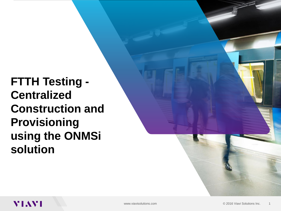**FTTH Testing - Centralized Construction and Provisioning using the ONMSi solution**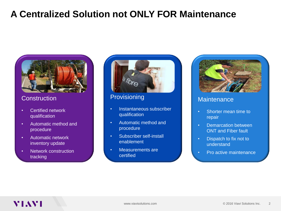## **A Centralized Solution not ONLY FOR Maintenance**



#### **Construction**

- Certified network qualification
- Automatic method and procedure
- Automatic network inventory update
- Network construction tracking



#### **Provisioning**

- Instantaneous subscriber qualification
- Automatic method and procedure
- Subscriber self-install enablement
- Measurements are certified



#### **Maintenance**

- Shorter mean time to repair
- Demarcation between ONT and Fiber fault
- Dispatch to fix not to understand
- Pro active maintenance

### VIAVI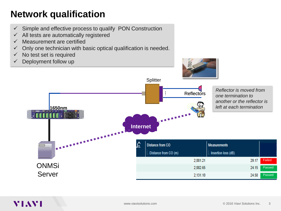# **Network qualification**

- $\checkmark$  Simple and effective process to qualify PON Construction
- $\checkmark$  All tests are automatically registered
- $\checkmark$  Measurement are certified
- $\checkmark$  Only one technician with basic optical qualification is needed.
- $\checkmark$  No test set is required
- $\checkmark$  Deployment follow up

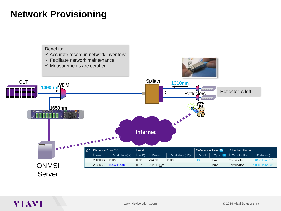## **Network Provisioning**



#### **VIAVI**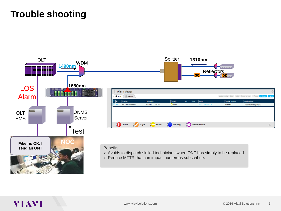### **Trouble shooting**